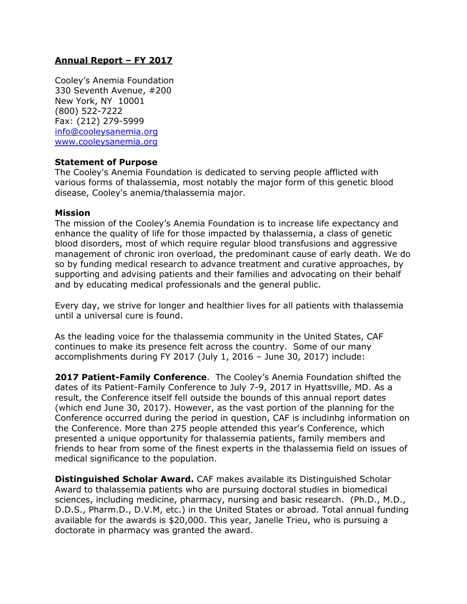# **Annual Report – FY 2017**

Cooley's Anemia Foundation 330 Seventh Avenue, #200 New York, NY 10001 (800) 522-7222 Fax: (212) 279-5999 [info@cooleysanemia.org](mailto:info@cooleysanemia.org) [www.cooleysanemia.org](http://www.cooleysanemia.org/)

## **Statement of Purpose**

The Cooley's Anemia Foundation is dedicated to serving people afflicted with various forms of thalassemia, most notably the major form of this genetic blood disease, Cooley's anemia/thalassemia major.

# **Mission**

The mission of the Cooley's Anemia Foundation is to increase life expectancy and enhance the quality of life for those impacted by thalassemia, a class of genetic blood disorders, most of which require regular blood transfusions and aggressive management of chronic iron overload, the predominant cause of early death. We do so by funding medical research to advance treatment and curative approaches, by supporting and advising patients and their families and advocating on their behalf and by educating medical professionals and the general public.

Every day, we strive for longer and healthier lives for all patients with thalassemia until a universal cure is found.

As the leading voice for the thalassemia community in the United States, CAF continues to make its presence felt across the country. Some of our many accomplishments during FY 2017 (July 1, 2016 – June 30, 2017) include:

**2017 Patient-Family Conference**. The Cooley's Anemia Foundation shifted the dates of its Patient-Family Conference to July 7-9, 2017 in Hyattsville, MD. As a result, the Conference itself fell outside the bounds of this annual report dates (which end June 30, 2017). However, as the vast portion of the planning for the Conference occurred during the period in question, CAF is includinhg information on the Conference. More than 275 people attended this year's Conference, which presented a unique opportunity for thalassemia patients, family members and friends to hear from some of the finest experts in the thalassemia field on issues of medical significance to the population.

**Distinguished Scholar Award.** CAF makes available its Distinguished Scholar Award to thalassemia patients who are pursuing doctoral studies in biomedical sciences, including medicine, pharmacy, nursing and basic research. (Ph.D., M.D., D.D.S., Pharm.D., D.V.M, etc.) in the United States or abroad. Total annual funding available for the awards is \$20,000. This year, Janelle Trieu, who is pursuing a doctorate in pharmacy was granted the award.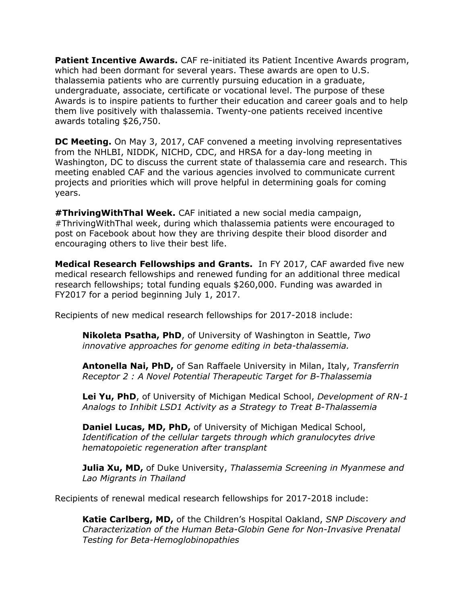**Patient Incentive Awards.** CAF re-initiated its Patient Incentive Awards program, which had been dormant for several years. These awards are open to U.S. thalassemia patients who are currently pursuing education in a graduate, undergraduate, associate, certificate or vocational level. The purpose of these Awards is to inspire patients to further their education and career goals and to help them live positively with thalassemia. Twenty-one patients received incentive awards totaling \$26,750.

**DC Meeting.** On May 3, 2017, CAF convened a meeting involving representatives from the NHLBI, NIDDK, NICHD, CDC, and HRSA for a day-long meeting in Washington, DC to discuss the current state of thalassemia care and research. This meeting enabled CAF and the various agencies involved to communicate current projects and priorities which will prove helpful in determining goals for coming years.

**#ThrivingWithThal Week.** CAF initiated a new social media campaign, #ThrivingWithThal week, during which thalassemia patients were encouraged to post on Facebook about how they are thriving despite their blood disorder and encouraging others to live their best life.

**Medical Research Fellowships and Grants.** In FY 2017, CAF awarded five new medical research fellowships and renewed funding for an additional three medical research fellowships; total funding equals \$260,000. Funding was awarded in FY2017 for a period beginning July 1, 2017.

Recipients of new medical research fellowships for 2017-2018 include:

**Nikoleta Psatha, PhD**, of University of Washington in Seattle, *Two innovative approaches for genome editing in beta-thalassemia.*

**Antonella Nai, PhD,** of San Raffaele University in Milan, Italy, *Transferrin Receptor 2 : A Novel Potential Therapeutic Target for B-Thalassemia*

**Lei Yu, PhD**, of University of Michigan Medical School, *Development of RN-1 Analogs to Inhibit LSD1 Activity as a Strategy to Treat B-Thalassemia*

**Daniel Lucas, MD, PhD,** of University of Michigan Medical School, *Identification of the cellular targets through which granulocytes drive hematopoietic regeneration after transplant*

**Julia Xu, MD,** of Duke University, *Thalassemia Screening in Myanmese and Lao Migrants in Thailand*

Recipients of renewal medical research fellowships for 2017-2018 include:

**Katie Carlberg, MD,** of the Children's Hospital Oakland, *SNP Discovery and Characterization of the Human Beta-Globin Gene for Non-Invasive Prenatal Testing for Beta-Hemoglobinopathies*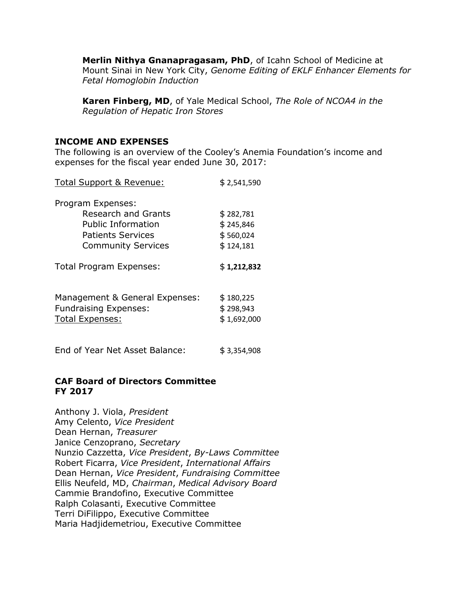**Merlin Nithya Gnanapragasam, PhD**, of Icahn School of Medicine at Mount Sinai in New York City, *Genome Editing of EKLF Enhancer Elements for Fetal Homoglobin Induction*

**Karen Finberg, MD**, of Yale Medical School, *The Role of NCOA4 in the Regulation of Hepatic Iron Stores*

#### **INCOME AND EXPENSES**

The following is an overview of the Cooley's Anemia Foundation's income and expenses for the fiscal year ended June 30, 2017:

| <b>Total Support &amp; Revenue:</b> | \$2,541,590 |
|-------------------------------------|-------------|
| Program Expenses:                   |             |
| <b>Research and Grants</b>          | \$282,781   |
| Public Information                  | \$245,846   |
| Patients Services                   | \$560,024   |
| <b>Community Services</b>           | \$124,181   |
| <b>Total Program Expenses:</b>      | \$1,212,832 |
| Management & General Expenses:      | \$180,225   |
| <b>Fundraising Expenses:</b>        | \$298,943   |
| <b>Total Expenses:</b>              | \$1,692,000 |
| End of Year Net Asset Balance:      | \$3,354,908 |

## **CAF Board of Directors Committee FY 2017**

Anthony J. Viola, *President* Amy Celento, *Vice President* Dean Hernan, *Treasurer*  Janice Cenzoprano, *Secretary* Nunzio Cazzetta, *Vice President*, *By-Laws Committee* Robert Ficarra, *Vice President*, *International Affairs* Dean Hernan, *Vice President*, *Fundraising Committee* Ellis Neufeld, MD, *Chairman*, *Medical Advisory Board* Cammie Brandofino, Executive Committee Ralph Colasanti, Executive Committee Terri DiFilippo, Executive Committee Maria Hadjidemetriou, Executive Committee